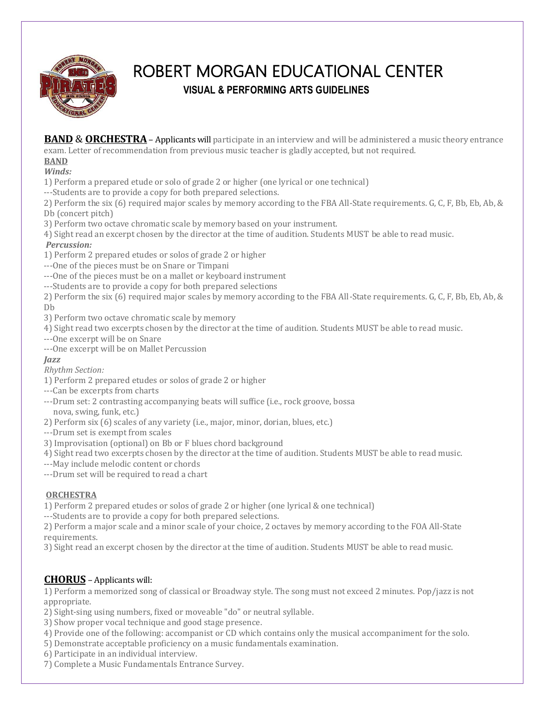

# ROBERT MORGAN EDUCATIONAL CENTER **VISUAL & PERFORMING ARTS GUIDELINES**

**BAND & ORCHESTRA** – Applicants will participate in an interview and will be administered a music theory entrance exam. Letter of recommendation from previous music teacher is gladly accepted, but not required.

# **BAND**

*Winds:*

1) Perform a prepared etude or solo of grade 2 or higher (one lyrical or one technical)

---Students are to provide a copy for both prepared selections.

2) Perform the six (6) required major scales by memory according to the FBA All-State requirements. G, C, F, Bb, Eb, Ab, & Db (concert pitch)

3) Perform two octave chromatic scale by memory based on your instrument.

4) Sight read an excerpt chosen by the director at the time of audition. Students MUST be able to read music.

#### *Percussion:*

1) Perform 2 prepared etudes or solos of grade 2 or higher

---One of the pieces must be on Snare or Timpani

---One of the pieces must be on a mallet or keyboard instrument

---Students are to provide a copy for both prepared selections

2) Perform the six (6) required major scales by memory according to the FBA All-State requirements. G, C, F, Bb, Eb, Ab, & Db

3) Perform two octave chromatic scale by memory

4) Sight read two excerpts chosen by the director at the time of audition. Students MUST be able to read music.

---One excerpt will be on Snare

---One excerpt will be on Mallet Percussion

#### *Jazz*

*Rhythm Section:*

1) Perform 2 prepared etudes or solos of grade 2 or higher

---Can be excerpts from charts

---Drum set: 2 contrasting accompanying beats will suffice (i.e., rock groove, bossa

nova, swing, funk, etc.)

2) Perform six (6) scales of any variety (i.e., major, minor, dorian, blues, etc.)

---Drum set is exempt from scales

3) Improvisation (optional) on Bb or F blues chord background

4) Sight read two excerpts chosen by the director at the time of audition. Students MUST be able to read music.

---May include melodic content or chords

---Drum set will be required to read a chart

#### **ORCHESTRA**

1) Perform 2 prepared etudes or solos of grade 2 or higher (one lyrical & one technical)

---Students are to provide a copy for both prepared selections.

2) Perform a major scale and a minor scale of your choice, 2 octaves by memory according to the FOA All-State requirements.

3) Sight read an excerpt chosen by the director at the time of audition. Students MUST be able to read music.

# **CHORUS** – Applicants will:

1) Perform a memorized song of classical or Broadway style. The song must not exceed 2 minutes. Pop/jazz is not appropriate.

2) Sight-sing using numbers, fixed or moveable "do" or neutral syllable.

3) Show proper vocal technique and good stage presence.

4) Provide one of the following: accompanist or CD which contains only the musical accompaniment for the solo.

5) Demonstrate acceptable proficiency on a music fundamentals examination.

6) Participate in an individual interview.

7) Complete a Music Fundamentals Entrance Survey.